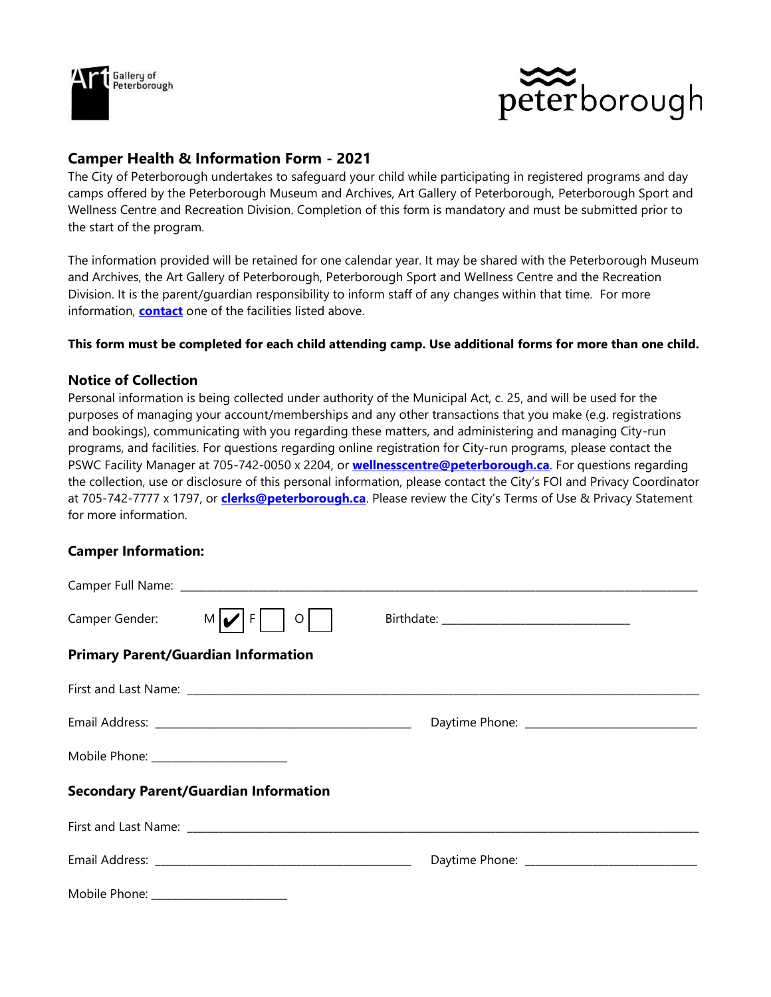



# **Camper Health & Information Form - 2021**

The City of Peterborough undertakes to safeguard your child while participating in registered programs and day camps offered by the Peterborough Museum and Archives, Art Gallery of Peterborough, Peterborough Sport and Wellness Centre and Recreation Division. Completion of this form is mandatory and must be submitted prior to the start of the program.

The information provided will be retained for one calendar year. It may be shared with the Peterborough Museum and Archives, the Art Gallery of Peterborough, Peterborough Sport and Wellness Centre and the Recreation Division. It is the parent/guardian responsibility to inform staff of any changes within that time. For more information, **[contact](https://www.peterborough.ca/Modules/contact/search.aspx?s=PlUsVX1z5lA5HQd7bUOiJ5lA5HbN8w5lA5HhAeQuAleQuAl&_mid_=26301)** one of the facilities listed above.

### **This form must be completed for each child attending camp. Use additional forms for more than one child.**

### **Notice of Collection**

Personal information is being collected under authority of the Municipal Act, c. 25, and will be used for the purposes of managing your account/memberships and any other transactions that you make (e.g. registrations and bookings), communicating with you regarding these matters, and administering and managing City-run programs, and facilities. For questions regarding online registration for City-run programs, please contact the PSWC Facility Manager at 705-742-0050 x 2204, or **[wellnesscentre@peterborough.ca](mailto:wellnesscentre@peterborough.ca)**. For questions regarding the collection, use or disclosure of this personal information, please contact the City's FOI and Privacy Coordinator at 705-742-7777 x 1797, or **[clerks@peterborough.ca](mailto:clerks@peterborough.ca)**. Please review the City's Terms of Use & Privacy Statement for more information.

### **Camper Information:**

| Camper Gender: $M \nu F $<br>$\circ$         |                                               |
|----------------------------------------------|-----------------------------------------------|
| <b>Primary Parent/Guardian Information</b>   |                                               |
|                                              |                                               |
|                                              | Daytime Phone: ______________________________ |
| Mobile Phone: ________________________       |                                               |
| <b>Secondary Parent/Guardian Information</b> |                                               |
|                                              |                                               |
|                                              |                                               |
| Mobile Phone: __________                     |                                               |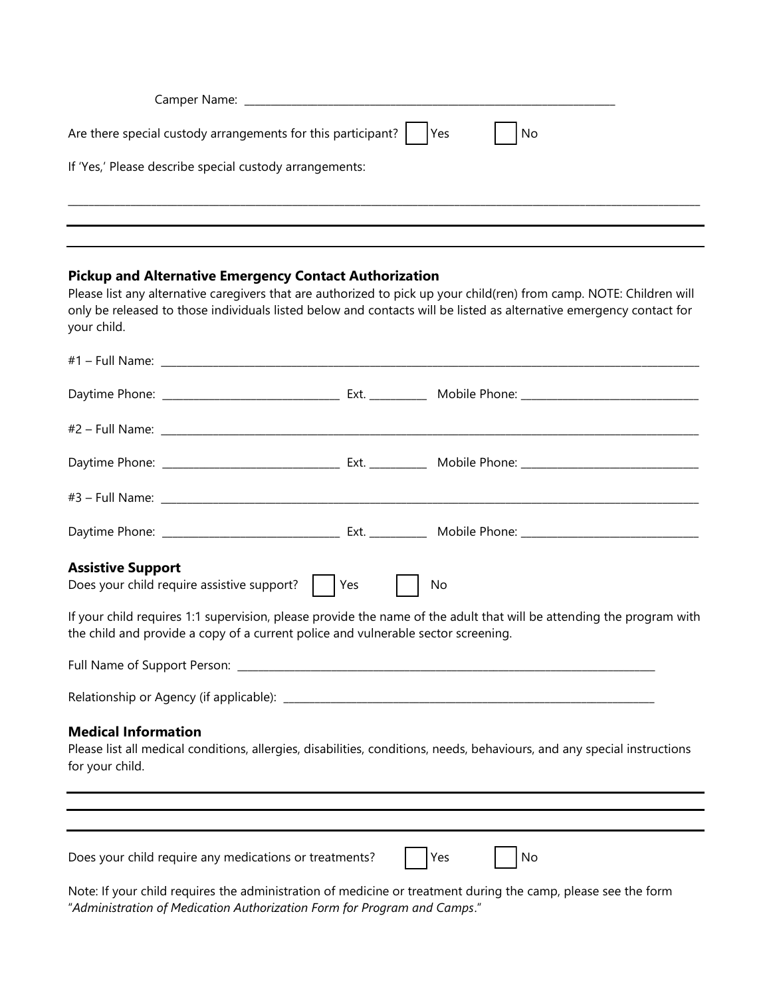| Are there special custody arrangements for this participant? $\vert \hspace{6pt} \vert$ Yes | $\overline{\phantom{a}}$ No |
|---------------------------------------------------------------------------------------------|-----------------------------|
| If 'Yes,' Please describe special custody arrangements:                                     |                             |
|                                                                                             |                             |
|                                                                                             |                             |

#### **Pickup and Alternative Emergency Contact Authorization**

Please list any alternative caregivers that are authorized to pick up your child(ren) from camp. NOTE: Children will only be released to those individuals listed below and contacts will be listed as alternative emergency contact for your child.

| <b>Assistive Support</b><br>Does your child require assistive support?<br>If your child requires 1:1 supervision, please provide the name of the adult that will be attending the program with<br>the child and provide a copy of a current police and vulnerable sector screening. | Yes | No        |  |
|-------------------------------------------------------------------------------------------------------------------------------------------------------------------------------------------------------------------------------------------------------------------------------------|-----|-----------|--|
| <b>Medical Information</b><br>Please list all medical conditions, allergies, disabilities, conditions, needs, behaviours, and any special instructions<br>for your child.                                                                                                           |     |           |  |
| Does your child require any medications or treatments?                                                                                                                                                                                                                              |     | Yes<br>No |  |
| Note: If your child requires the administration of modicine or treatment during the samp please see the form                                                                                                                                                                        |     |           |  |

Note: If your child requires the administration of medicine or treatment during the camp, please see the form "*Administration of Medication Authorization Form for Program and Camps*."